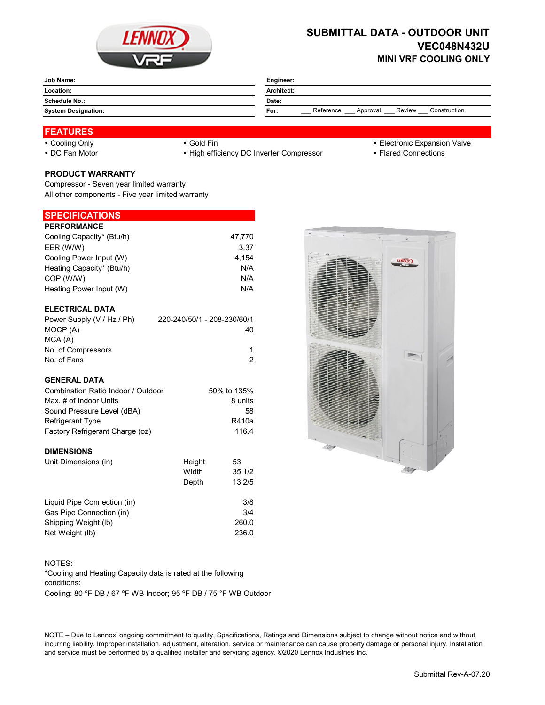

# **SUBMITTAL DATA - OUTDOOR UNIT VEC048N432U MINI VRF COOLING ONLY**

| Job Name:                  | Engineer:                                               |  |  |
|----------------------------|---------------------------------------------------------|--|--|
| Location:                  | Architect:                                              |  |  |
| Schedule No.:              | Date:                                                   |  |  |
| <b>System Designation:</b> | Reference<br>Construction<br>Review<br>Approval<br>For: |  |  |

# **FEATURES**

- 
- 

• DC Fan Motor **Example 20 Times 19 CONNOTE:** • High efficiency DC Inverter Compressor **Flared Connections** 

- Cooling Only **Cooling Only Gold Fin Gold Fin Cooling Only Electronic Expansion Valve** 
	-

# **PRODUCT WARRANTY**

Compressor - Seven year limited warranty All other components - Five year limited warranty

## **SPECIFICATIONS**

| <b>PERFORMANCE</b>        |        |
|---------------------------|--------|
| Cooling Capacity* (Btu/h) | 47.770 |
| EER (W/W)                 | 3.37   |
| Cooling Power Input (W)   | 4.154  |
| Heating Capacity* (Btu/h) | N/A    |
| COP (W/W)                 | N/A    |
| Heating Power Input (W)   | N/A    |

### **ELECTRICAL DATA**

| Power Supply (V / Hz / Ph) | 220-240/50/1 - 208-230/60/1 |
|----------------------------|-----------------------------|
| MOCP (A)                   | 40                          |
| MCA (A)                    |                             |
| No. of Compressors         |                             |
| No. of Fans                |                             |

#### **GENERAL DATA**

| Combination Ratio Indoor / Outdoor | 50% to 135% |
|------------------------------------|-------------|
| Max. # of Indoor Units             | 8 units     |
| Sound Pressure Level (dBA)         | 58          |
| Refrigerant Type                   | R410a       |
| Factory Refrigerant Charge (oz)    | 116.4       |
|                                    |             |

#### **DIMENSIONS**

| Unit Dimensions (in)        | Height | 53     |
|-----------------------------|--------|--------|
|                             | Width  | 351/2  |
|                             | Depth  | 13 2/5 |
| Liquid Pipe Connection (in) |        | 3/8    |
| Gas Pipe Connection (in)    |        | 3/4    |
| Shipping Weight (lb)        |        | 260.0  |
| Net Weight (lb)             |        | 236.0  |

#### NOTES:

Cooling: 80 °F DB / 67 °F WB Indoor; 95 °F DB / 75 °F WB Outdoor \*Cooling and Heating Capacity data is rated at the following conditions:

NOTE – Due to Lennox' ongoing commitment to quality, Specifications, Ratings and Dimensions subject to change without notice and without incurring liability. Improper installation, adjustment, alteration, service or maintenance can cause property damage or personal injury. Installation and service must be performed by a qualified installer and servicing agency. ©2020 Lennox Industries Inc.